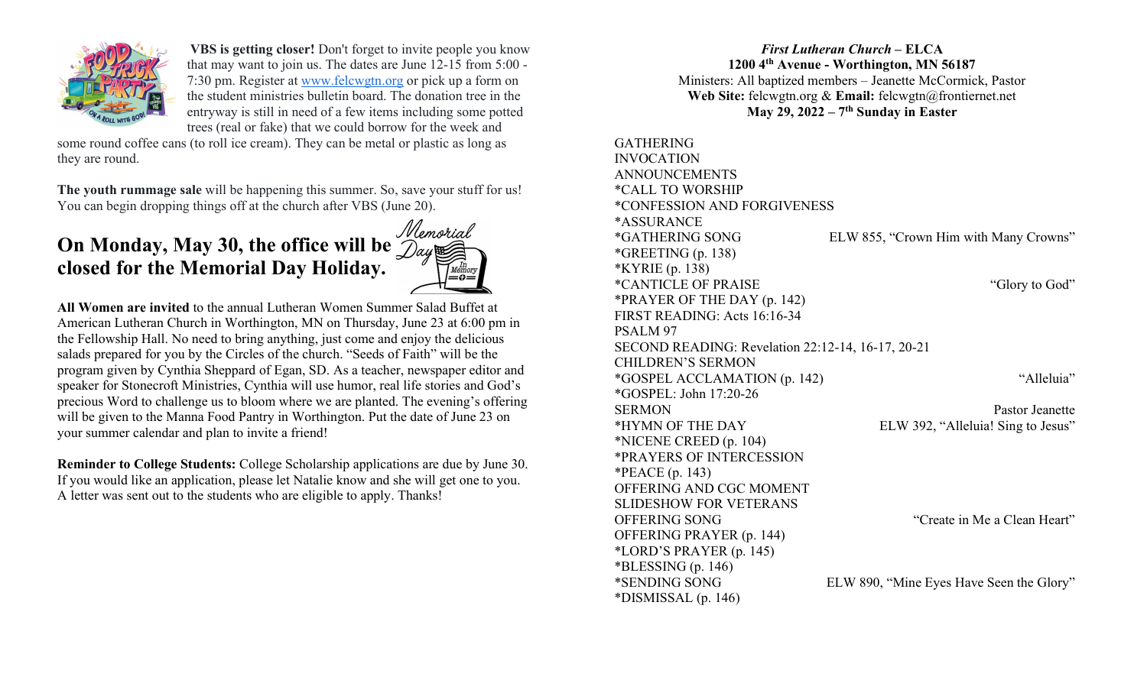

VBS is getting closer! Don't forget to invite people you know that may want to join us. The dates are June 12-15 from 5:00 - 7:30 pm. Register at www.felcwgtn.org or pick up a form on the student ministries bulletin board. The donation tree in the entryway is still in need of a few items including some potted trees (real or fake) that we could borrow for the week and

some round coffee cans (to roll ice cream). They can be metal or plastic as long as they are round.

The youth rummage sale will be happening this summer. So, save your stuff for us! You can begin dropping things off at the church after VBS (June 20).

# On Monday, May 30, the office will be closed for the Memorial Day Holiday.



All Women are invited to the annual Lutheran Women Summer Salad Buffet at American Lutheran Church in Worthington, MN on Thursday, June 23 at 6:00 pm in the Fellowship Hall. No need to bring anything, just come and enjoy the delicious salads prepared for you by the Circles of the church. "Seeds of Faith" will be the program given by Cynthia Sheppard of Egan, SD. As a teacher, newspaper editor and speaker for Stonecroft Ministries, Cynthia will use humor, real life stories and God's precious Word to challenge us to bloom where we are planted. The evening's offering will be given to the Manna Food Pantry in Worthington. Put the date of June 23 on your summer calendar and plan to invite a friend!

Reminder to College Students: College Scholarship applications are due by June 30. If you would like an application, please let Natalie know and she will get one to you. A letter was sent out to the students who are eligible to apply. Thanks!

### First Lutheran Church – ELCA 1200 4th Avenue - Worthington, MN 56187 Ministers: All baptized members – Jeanette McCormick, Pastor Web Site: felcwgtn.org & Email: felcwgtn@frontiernet.net May 29, 2022 –  $7<sup>th</sup>$  Sunday in Easter

| <b>GATHERING</b>                                  |                                          |
|---------------------------------------------------|------------------------------------------|
| <b>INVOCATION</b>                                 |                                          |
| <b>ANNOUNCEMENTS</b>                              |                                          |
| <i><b>*CALL TO WORSHIP</b></i>                    |                                          |
| <i><b>*CONFESSION AND FORGIVENESS</b></i>         |                                          |
| <i><b>*ASSURANCE</b></i>                          |                                          |
| <i><b>*GATHERING SONG</b></i>                     | ELW 855, "Crown Him with Many Crowns"    |
| *GREETING $(p. 138)$                              |                                          |
| *KYRIE (p. 138)                                   |                                          |
| <i>*CANTICLE OF PRAISE</i>                        | "Glory to God"                           |
| *PRAYER OF THE DAY (p. 142)                       |                                          |
| FIRST READING: Acts 16:16-34                      |                                          |
| PSALM <sub>97</sub>                               |                                          |
| SECOND READING: Revelation 22:12-14, 16-17, 20-21 |                                          |
| <b>CHILDREN'S SERMON</b>                          |                                          |
| *GOSPEL ACCLAMATION (p. 142)                      | "Alleluia"                               |
| *GOSPEL: John 17:20-26                            |                                          |
| <b>SERMON</b>                                     | Pastor Jeanette                          |
| *HYMN OF THE DAY                                  | ELW 392, "Alleluia! Sing to Jesus"       |
| $*NICENE CREED (p. 104)$                          |                                          |
| *PRAYERS OF INTERCESSION                          |                                          |
| *PEACE $(p. 143)$                                 |                                          |
| OFFERING AND CGC MOMENT                           |                                          |
| <b>SLIDESHOW FOR VETERANS</b>                     |                                          |
| OFFERING SONG                                     | "Create in Me a Clean Heart"             |
| OFFERING PRAYER (p. 144)                          |                                          |
| $*LORD'S PRAYER (p. 145)$                         |                                          |
| $*BLESSING(p. 146)$                               |                                          |
| *SENDING SONG                                     | ELW 890, "Mine Eyes Have Seen the Glory" |
| $*DISMISSAL(p. 146)$                              |                                          |